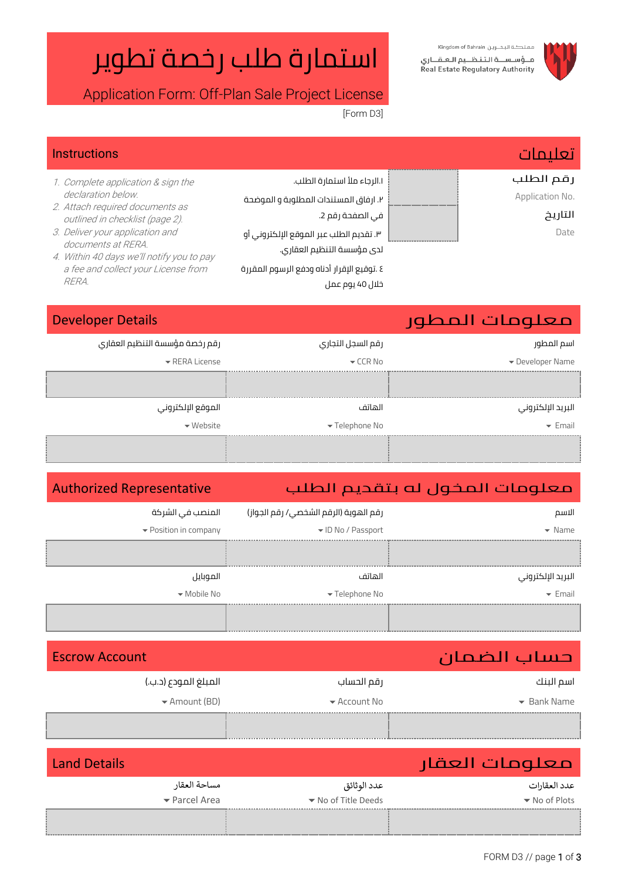### مملكة البحرين Kingdom of Bahrain فاؤساسالة التناظليم العاقباري Real Estate Regulatory Authority



استمارة طلب رخصة تطوير

Application Form: Off-Plan Sale Project License

[Form D3]

خالل 40 يوم عمل

| <b>Instructions</b>                                                |                                            | <b>Alaig</b>    |
|--------------------------------------------------------------------|--------------------------------------------|-----------------|
| 1. Complete application & sign the                                 | ١.الرجاء ملأ استمارة الطلب.                | رقم الطلب       |
| declaration below.                                                 | ٢. ارفاق المستندات المطلوبة و الموضحة      | Application No. |
| 2. Attach required documents as<br>outlined in checklist (page 2). | في الصفحة رقم 2.                           | التاريخ         |
| 3. Deliver your application and                                    | ٣. تقديم الطلب عبر الموقع الإلكتروني أو    | Date            |
| documents at RERA.<br>4. Within 40 days we'll notify you to pay    | لدى مؤسسة التنظيم العقاري.                 |                 |
| a fee and collect your License from                                | ٤ .توقيع الإقرار أدناه ودفع الرسوم المقررة |                 |
| RERA.                                                              | $\sqrt{2}$                                 |                 |

## معلومات المطور Details Developer

| - -                         |                              |                                    |
|-----------------------------|------------------------------|------------------------------------|
| اسم المطور                  | رقم السجل التجاري            | رقم رخصة مؤسسة التنظيم العقاري     |
| Developer Name              | $\blacktriangleright$ CCR No | $\blacktriangleright$ RERA License |
|                             |                              |                                    |
|                             |                              |                                    |
| البريد الإلكتروني           | الهاتف                       | الموقع الإلكتروني                  |
| $\blacktriangleright$ Email | ▼ Telephone No               | $\blacktriangleright$ Website      |
|                             |                              |                                    |
|                             |                              |                                    |
|                             |                              |                                    |

## معلومات المخول له بتقديم الطلب Representative Authorized

| الاسم                       | رقم الهوية (الرقم الشخصي/ رقم الجواز) | المنصب فى الشركة                |
|-----------------------------|---------------------------------------|---------------------------------|
| $\blacktriangleright$ Name  | ▼ ID No / Passport                    | ▼ Position in company           |
|                             |                                       |                                 |
| البريد الإلكتروني           | الهاتف                                | الموبايل                        |
| $\blacktriangleright$ Email | $\blacktriangleright$ Telephone No    | $\blacktriangleright$ Mobile No |
|                             |                                       |                                 |

| <b>Escrow Account</b>             |                                  | حساب الضمان                     |
|-----------------------------------|----------------------------------|---------------------------------|
| المبلغ المودع (د.ب.)              | رقم الحساب                       | اسم البنك                       |
| $\blacktriangleright$ Amount (BD) | $\blacktriangleright$ Account No | $\blacktriangleright$ Bank Name |
|                                   |                                  |                                 |

| <b>Land Details</b> |                                   |                                         | معلومات العقار                    |
|---------------------|-----------------------------------|-----------------------------------------|-----------------------------------|
|                     | مساحة العقار                      | عدد الوثائق                             | عدد العقارات                      |
|                     | $\blacktriangleright$ Parcel Area | $\blacktriangleright$ No of Title Deeds | $\blacktriangleright$ No of Plots |
|                     |                                   |                                         |                                   |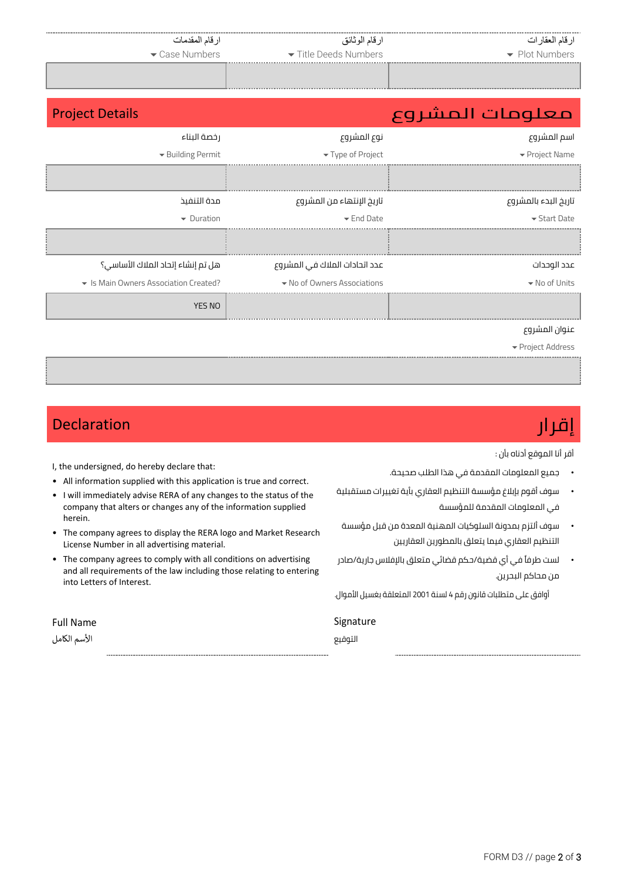| ارقام المقدمات<br>Case Numbers        | ارقام الوثائق<br>Title Deeds Numbers | ارقام العقارات<br>• Plot Numbers |
|---------------------------------------|--------------------------------------|----------------------------------|
| <b>Project Details</b>                |                                      | معلومات المشروع                  |
| رخصة البناء                           | نوع المشروع                          | اسم المشروع                      |
| Building Permit                       | Type of Project                      | ▼ Project Name                   |
|                                       |                                      |                                  |
| مدة التنفيذ                           | تاريخ الإنتهاء من المشروع            | تاريخ البدء بالمشروع             |
| $\blacktriangleright$ Duration        | $\blacktriangleright$ End Date       | $\blacktriangleright$ Start Date |
|                                       |                                      |                                  |
| هل تم إنشاء إتحاد الملاك الأساسي؟     | عدد اتحادات الملاك في المشروع        | عدد الوحدات                      |
| • Is Main Owners Association Created? | • No of Owners Associations          | • No of Units                    |
| YES NO                                |                                      |                                  |
|                                       |                                      | عنوان المشروع                    |
|                                       |                                      | ▼ Project Address                |

# إقرار Declaration

أقر أنا الموقع أدناه بأن :

- جميع المعلومات المقدمة في هذا الطلب صحيحة.
- سوف أقوم بإبالغ مؤسسة التنظيم العقاري بأية تغييرات مستقبلية في المعلومات المقدمة للمؤسسة
- سوف ألتزم بمدونة السلوكيات المهنية المعدة من قبل مؤسسة التنظيم العقاري فيما يتعلق بالمطورين العقاريين
- لست طرفًا في أي قضية/حكم قضائي متعلق باإلفالس جارية/صادر من محاكم البحرين.

أوافق على متطلبات قانون رقم 4 لسنة 2001 المتعلقة بغسيل األموال.

Signature

التوقيع

Full Name

herein.

into Letters of Interest.

I, the undersigned, do hereby declare that:

License Number in all advertising material.

• All information supplied with this application is true and correct. • I will immediately advise RERA of any changes to the status of the company that alters or changes any of the information supplied

• The company agrees to display the RERA logo and Market Research

• The company agrees to comply with all conditions on advertising and all requirements of the law including those relating to entering

الأسم الكامل